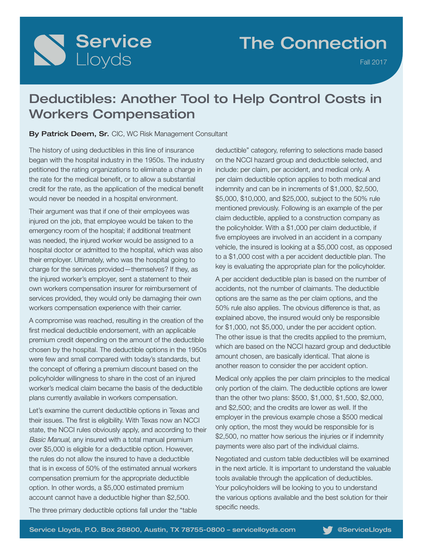# Service

## The Connection

Fall 2017

## Deductibles: Another Tool to Help Control Costs in Workers Compensation

#### By Patrick Deem, Sr. CIC, WC Risk Management Consultant

The history of using deductibles in this line of insurance began with the hospital industry in the 1950s. The industry petitioned the rating organizations to eliminate a charge in the rate for the medical benefit, or to allow a substantial credit for the rate, as the application of the medical benefit would never be needed in a hospital environment.

Their argument was that if one of their employees was injured on the job, that employee would be taken to the emergency room of the hospital; if additional treatment was needed, the injured worker would be assigned to a hospital doctor or admitted to the hospital, which was also their employer. Ultimately, who was the hospital going to charge for the services provided—themselves? If they, as the injured worker's employer, sent a statement to their own workers compensation insurer for reimbursement of services provided, they would only be damaging their own workers compensation experience with their carrier.

A compromise was reached, resulting in the creation of the first medical deductible endorsement, with an applicable premium credit depending on the amount of the deductible chosen by the hospital. The deductible options in the 1950s were few and small compared with today's standards, but the concept of offering a premium discount based on the policyholder willingness to share in the cost of an injured worker's medical claim became the basis of the deductible plans currently available in workers compensation.

Let's examine the current deductible options in Texas and their issues. The first is eligibility. With Texas now an NCCI state, the NCCI rules obviously apply, and according to their Basic Manual, any insured with a total manual premium over \$5,000 is eligible for a deductible option. However, the rules do not allow the insured to have a deductible that is in excess of 50% of the estimated annual workers compensation premium for the appropriate deductible option. In other words, a \$5,000 estimated premium account cannot have a deductible higher than \$2,500.

deductible" category, referring to selections made based on the NCCI hazard group and deductible selected, and include: per claim, per accident, and medical only. A per claim deductible option applies to both medical and indemnity and can be in increments of \$1,000, \$2,500, \$5,000, \$10,000, and \$25,000, subject to the 50% rule mentioned previously. Following is an example of the per claim deductible, applied to a construction company as the policyholder. With a \$1,000 per claim deductible, if five employees are involved in an accident in a company vehicle, the insured is looking at a \$5,000 cost, as opposed to a \$1,000 cost with a per accident deductible plan. The key is evaluating the appropriate plan for the policyholder.

A per accident deductible plan is based on the number of accidents, not the number of claimants. The deductible options are the same as the per claim options, and the 50% rule also applies. The obvious difference is that, as explained above, the insured would only be responsible for \$1,000, not \$5,000, under the per accident option. The other issue is that the credits applied to the premium, which are based on the NCCI hazard group and deductible amount chosen, are basically identical. That alone is another reason to consider the per accident option.

Medical only applies the per claim principles to the medical only portion of the claim. The deductible options are lower than the other two plans: \$500, \$1,000, \$1,500, \$2,000, and \$2,500; and the credits are lower as well. If the employer in the previous example chose a \$500 medical only option, the most they would be responsible for is \$2,500, no matter how serious the injuries or if indemnity payments were also part of the individual claims.

Negotiated and custom table deductibles will be examined in the next article. It is important to understand the valuable tools available through the application of deductibles. Your policyholders will be looking to you to understand the various options available and the best solution for their specific needs.

The three primary deductible options fall under the "table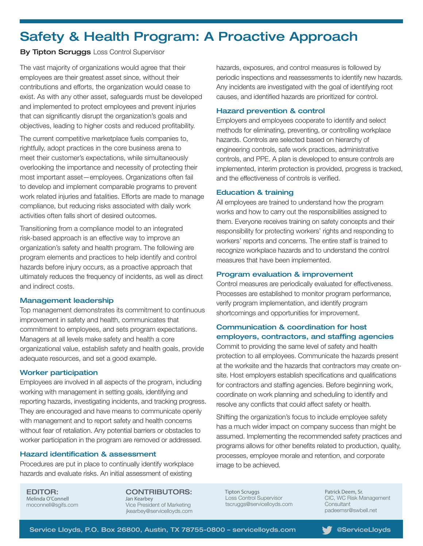## Safety & Health Program: A Proactive Approach

#### **By Tipton Scruggs Loss Control Supervisor**

The vast majority of organizations would agree that their employees are their greatest asset since, without their contributions and efforts, the organization would cease to exist. As with any other asset, safeguards must be developed and implemented to protect employees and prevent injuries that can significantly disrupt the organization's goals and objectives, leading to higher costs and reduced profitability.

The current competitive marketplace fuels companies to, rightfully, adopt practices in the core business arena to meet their customer's expectations, while simultaneously overlooking the importance and necessity of protecting their most important asset—employees. Organizations often fail to develop and implement comparable programs to prevent work related injuries and fatalities. Efforts are made to manage compliance, but reducing risks associated with daily work activities often falls short of desired outcomes.

Transitioning from a compliance model to an integrated risk-based approach is an effective way to improve an organization's safety and health program. The following are program elements and practices to help identify and control hazards before injury occurs, as a proactive approach that ultimately reduces the frequency of incidents, as well as direct and indirect costs.

#### Management leadership

Top management demonstrates its commitment to continuous improvement in safety and health, communicates that commitment to employees, and sets program expectations. Managers at all levels make safety and health a core organizational value, establish safety and health goals, provide adequate resources, and set a good example.

#### Worker participation

Employees are involved in all aspects of the program, including working with management in setting goals, identifying and reporting hazards, investigating incidents, and tracking progress. They are encouraged and have means to communicate openly with management and to report safety and health concerns without fear of retaliation. Any potential barriers or obstacles to worker participation in the program are removed or addressed.

#### Hazard identification & assessment

Procedures are put in place to continually identify workplace hazards and evaluate risks. An initial assessment of existing

EDITOR: Melinda O'Connell moconnell@sgifs.com

CONTRIBUTORS: Jan Kearbey Vice President of Marketing jkearbey@servicelloyds.com hazards, exposures, and control measures is followed by periodic inspections and reassessments to identify new hazards. Any incidents are investigated with the goal of identifying root causes, and identified hazards are prioritized for control.

#### Hazard prevention & control

Employers and employees cooperate to identify and select methods for eliminating, preventing, or controlling workplace hazards. Controls are selected based on hierarchy of engineering controls, safe work practices, administrative controls, and PPE. A plan is developed to ensure controls are implemented, interim protection is provided, progress is tracked, and the effectiveness of controls is verified.

#### Education & training

All employees are trained to understand how the program works and how to carry out the responsibilities assigned to them. Everyone receives training on safety concepts and their responsibility for protecting workers' rights and responding to workers' reports and concerns. The entire staff is trained to recognize workplace hazards and to understand the control measures that have been implemented.

#### Program evaluation & improvement

Control measures are periodically evaluated for effectiveness. Processes are established to monitor program performance, verify program implementation, and identify program shortcomings and opportunities for improvement.

#### Communication & coordination for host employers, contractors, and staffing agencies

Commit to providing the same level of safety and health protection to all employees. Communicate the hazards present at the worksite and the hazards that contractors may create onsite. Host employers establish specifications and qualifications for contractors and staffing agencies. Before beginning work, coordinate on work planning and scheduling to identify and resolve any conflicts that could affect safety or health.

Shifting the organization's focus to include employee safety has a much wider impact on company success than might be assumed. Implementing the recommended safety practices and programs allows for other benefits related to production, quality, processes, employee morale and retention, and corporate image to be achieved.

Tipton Scruggs Loss Control Supervisor tscruggs@servicelloyds.com

Patrick Deem, Sr. CIC, WC Risk Management **Consultant** padeemsr@swbell.net

Service Lloyds, P.O. Box 26800, Austin, TX 78755-0800 - servicelloyds.com **We**ServiceLloyds